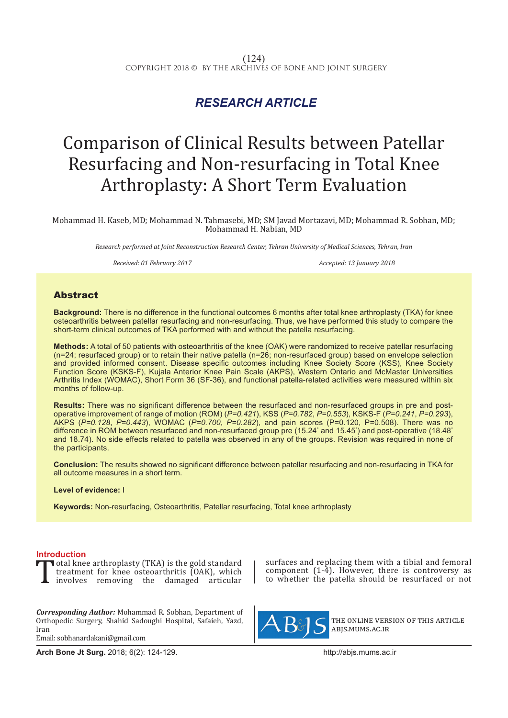## *RESEARCH ARTICLE*

# Comparison of Clinical Results between Patellar Resurfacing and Non-resurfacing in Total Knee Arthroplasty: A Short Term Evaluation

Mohammad H. Kaseb, MD; Mohammad N. Tahmasebi, MD; SM Javad Mortazavi, MD; Mohammad R. Sobhan, MD; Mohammad H. Nabian, MD

*Research performed at Joint Reconstruction Research Center, Tehran University of Medical Sciences, Tehran, Iran*

*Received: 01 February 2017 Accepted: 13 January 2018*

### Abstract

**Background:** There is no difference in the functional outcomes 6 months after total knee arthroplasty (TKA) for knee osteoarthritis between patellar resurfacing and non-resurfacing. Thus, we have performed this study to compare the short-term clinical outcomes of TKA performed with and without the patella resurfacing.

**Methods:** A total of 50 patients with osteoarthritis of the knee (OAK) were randomized to receive patellar resurfacing (n=24; resurfaced group) or to retain their native patella (n=26; non-resurfaced group) based on envelope selection and provided informed consent. Disease specific outcomes including Knee Society Score (KSS), Knee Society Function Score (KSKS-F), Kujala Anterior Knee Pain Scale (AKPS), Western Ontario and McMaster Universities Arthritis Index (WOMAC), Short Form 36 (SF-36), and functional patella-related activities were measured within six months of follow-up.

**Results:** There was no significant difference between the resurfaced and non-resurfaced groups in pre and postoperative improvement of range of motion (ROM) (*P=0.421*), KSS (*P=0.782*, *P=0.553*), KSKS-F (*P=0.241*, *P=0.293*), AKPS (*P=0.128*, *P=0.443*), WOMAC (*P=0.700*, *P=0.282*), and pain scores (P=0.120, P=0.508). There was no difference in ROM between resurfaced and non-resurfaced group pre (15.24° and 15.45° ) and post-operative (18.48° and 18.74). No side effects related to patella was observed in any of the groups. Revision was required in none of the participants.

**Conclusion:** The results showed no significant difference between patellar resurfacing and non-resurfacing in TKA for all outcome measures in a short term.

#### **Level of evidence:** I

**Keywords:** Non-resurfacing, Osteoarthritis, Patellar resurfacing, Total knee arthroplasty

**Introduction**<br>**T**otal knee arthroplasty (TKA) is the gold standard Total knee arthroplasty (TKA) is the gold standard<br>treatment for knee osteoarthritis (OAK), which<br>involves removing the damaged articular treatment for knee osteoarthritis (OAK), which involves removing the damaged articular

*Corresponding Author:* Mohammad R. Sobhan, Department of Orthopedic Surgery, Shahid Sadoughi Hospital, Safaieh, Yazd, Iran Email: sobhanardakani@gmail.com

**Arch Bone Jt Surg.** 2018; 6(2): 124-129.http://abjs.mums.ac.ir

surfaces and replacing them with a tibial and femoral component  $(1-4)$ . However, there is controversy as to whether the patella should be resurfaced or not



the online version of this article abjs.mums.ac.ir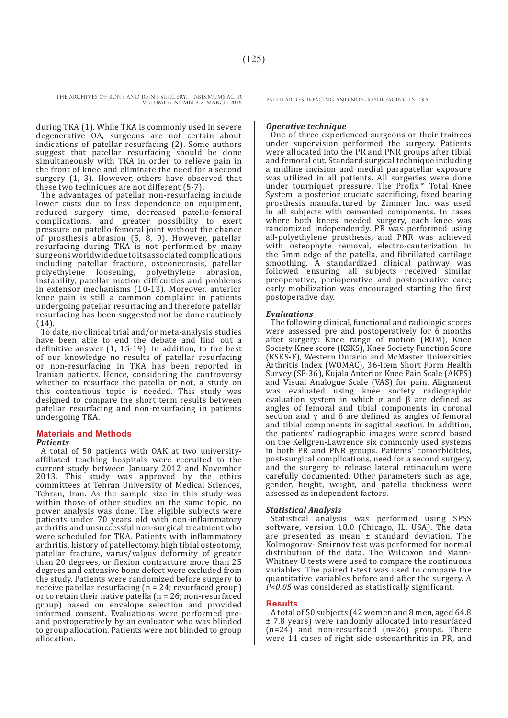during TKA (1). While TKA is commonly used in severe degenerative OA, surgeons are not certain about indications of patellar resurfacing (2). Some authors suggest that patellar resurfacing should be done simultaneously with TKA in order to relieve pain in the front of knee and eliminate the need for a second surgery (1, 3). However, others have observed that these two techniques are not different (5-7).

The advantages of patellar non-resurfacing include lower costs due to less dependence on equipment, reduced surgery time, decreased patello-femoral complications, and greater possibility to exert pressure on patello-femoral joint without the chance of prosthesis abrasion (5, 8, 9). However, patellar resurfacing during TKA is not performed by many surgeons worldwide due to its associated complications including patellar fracture, osteonecrosis, patellar polyethylene loosening, polyethylene abrasion, instability, patellar motion difficulties and problems in extensor mechanisms (10-13). Moreover, anterior knee pain is still a common complaint in patients undergoing patellar resurfacing and therefore patellar resurfacing has been suggested not be done routinely (14).

To date, no clinical trial and/or meta-analysis studies have been able to end the debate and find out a definitive answer (1, 15-19). In addition, to the best of our knowledge no results of patellar resurfacing or non-resurfacing in TKA has been reported in Iranian patients. Hence, considering the controversy whether to resurface the patella or not, a study on this contentious topic is needed. This study was designed to compare the short term results between patellar resurfacing and non-resurfacing in patients undergoing TKA.

#### **Materials and Methods**

#### *Patients*

A total of 50 patients with OAK at two universityaffiliated teaching hospitals were recruited to the current study between January 2012 and November 2013. This study was approved by the ethics committees at Tehran University of Medical Sciences, Tehran, Iran. As the sample size in this study was within those of other studies on the same topic, no power analysis was done. The eligible subjects were patients under 70 years old with non-inflammatory arthritis and unsuccessful non-surgical treatment who were scheduled for TKA. Patients with inflammatory arthritis, history of patellectomy, high tibial osteotomy, patellar fracture, varus/valgus deformity of greater than 20 degrees, or flexion contracture more than 25 degrees and extensive bone defect were excluded from the study. Patients were randomized before surgery to receive patellar resurfacing (n = 24; resurfaced group) or to retain their native patella (n = 26; non-resurfaced group) based on envelope selection and provided informed consent. Evaluations were performed preand postoperatively by an evaluator who was blinded to group allocation. Patients were not blinded to group allocation.

#### *Operative technique*

One of three experienced surgeons or their trainees under supervision performed the surgery. Patients were allocated into the PR and PNR groups after tibial and femoral cut. Standard surgical technique including a midline incision and medial parapatellar exposure was utilized in all patients. All surgeries were done under tourniquet pressure. The Profix™ Total Knee System, a posterior cruciate sacrificing, fixed bearing prosthesis manufactured by Zimmer Inc. was used in all subjects with cemented components. In cases where both knees needed surgery, each knee was randomized independently. PR was performed using all-polyethylene prosthesis, and PNR was achieved with osteophyte removal, electro-cauterization in the 5mm edge of the patella, and fibrillated cartilage smoothing. A standardized clinical pathway was followed ensuring all subjects received similar preoperative, perioperative and postoperative care; early mobilization was encouraged starting the first postoperative day.

#### *Evaluations*

The following clinical, functional and radiologic scores were assessed pre and postoperatively for  $\bar{6}$  months after surgery: Knee range of motion (ROM), Knee Society Knee score (KSKS), Knee Society Function Score (KSKS-F), Western Ontario and McMaster Universities Arthritis Index (WOMAC), 36-Item Short Form Health Survey (SF-36), Kujala Anterior Knee Pain Scale (AKPS) and Visual Analogue Scale (VAS) for pain. Alignment was evaluated using knee society radiographic evaluation system in which  $\alpha$  and  $\beta$  are defined as angles of femoral and tibial components in coronal section and  $\gamma$  and  $\delta$  are defined as angles of femoral and tibial components in sagittal section. In addition, the patients' radiographic images were scored based on the Kellgren-Lawrence six commonly used systems in both PR and PNR groups. Patients' comorbidities, post-surgical complications, need for a second surgery, and the surgery to release lateral retinaculum were carefully documented. Other parameters such as age, gender, height, weight, and patella thickness were assessed as independent factors.

#### *Statistical Analysis*

Statistical analysis was performed using SPSS software, version 18.0 (Chicago, IL, USA). The data are presented as mean  $\pm$  standard deviation. The Kolmogorov- Smirnov test was performed for normal distribution of the data. The Wilcoxon and Mann-Whitney U tests were used to compare the continuous variables. The paired t-test was used to compare the quantitative variables before and after the surgery. A *P<0.05* was considered as statistically significant.

#### **Results**

A total of 50 subjects (42 women and 8 men, aged 64.8 ± 7.8 years) were randomly allocated into resurfaced  $(n=24)$  and non-resurfaced  $(n=26)$  groups. There were 11 cases of right side osteoarthritis in PR, and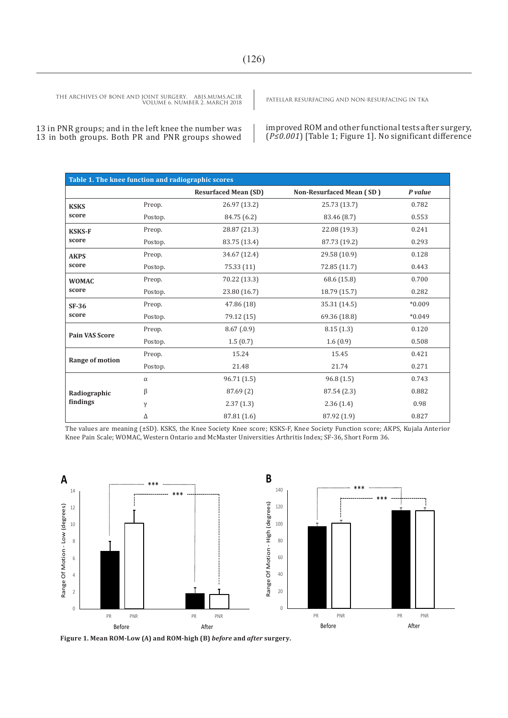13 in PNR groups; and in the left knee the number was 13 in both groups. Both PR and PNR groups showed improved ROM and other functional tests after surgery, (*P≤0.001*) [Table 1; Figure 1]. No significant difference

| Table 1. The knee function and radiographic scores |          |                             |                                 |          |
|----------------------------------------------------|----------|-----------------------------|---------------------------------|----------|
|                                                    |          | <b>Resurfaced Mean (SD)</b> | <b>Non-Resurfaced Mean (SD)</b> | P value  |
| <b>KSKS</b><br>score                               | Preop.   | 26.97 (13.2)                | 25.73 (13.7)                    | 0.782    |
|                                                    | Postop.  | 84.75 (6.2)                 | 83.46 (8.7)                     | 0.553    |
| <b>KSKS-F</b><br>score                             | Preop.   | 28.87 (21.3)                | 22.08 (19.3)                    | 0.241    |
|                                                    | Postop.  | 83.75 (13.4)                | 87.73 (19.2)                    | 0.293    |
| <b>AKPS</b><br>score                               | Preop.   | 34.67 (12.4)                | 29.58 (10.9)                    | 0.128    |
|                                                    | Postop.  | 75.33 (11)                  | 72.85 (11.7)                    | 0.443    |
| <b>WOMAC</b><br>score                              | Preop.   | 70.22 (13.3)                | 68.6 (15.8)                     | 0.700    |
|                                                    | Postop.  | 23.80 (16.7)                | 18.79 (15.7)                    | 0.282    |
| $SF-36$<br>score                                   | Preop.   | 47.86 (18)                  | 35.31 (14.5)                    | $*0.009$ |
|                                                    | Postop.  | 79.12 (15)                  | 69.36 (18.8)                    | $*0.049$ |
| <b>Pain VAS Score</b>                              | Preop.   | 8.67(0.9)                   | 8.15(1.3)                       | 0.120    |
|                                                    | Postop.  | 1.5(0.7)                    | 1.6(0.9)                        | 0.508    |
| Range of motion                                    | Preop.   | 15.24                       | 15.45                           | 0.421    |
|                                                    | Postop.  | 21.48                       | 21.74                           | 0.271    |
| Radiographic<br>findings                           | $\alpha$ | 96.71 (1.5)                 | 96.8(1.5)                       | 0.743    |
|                                                    | β        | 87.69 (2)                   | 87.54 (2.3)                     | 0.882    |
|                                                    | γ        | 2.37(1.3)                   | 2.36(1.4)                       | 0.98     |
|                                                    | Δ        | 87.81 (1.6)                 | 87.92 (1.9)                     | 0.827    |

The values are meaning (±SD). KSKS, the Knee Society Knee score; KSKS-F, Knee Society Function score; AKPS, Kujala Anterior Knee Pain Scale; WOMAC, Western Ontario and McMaster Universities Arthritis Index; SF-36, Short Form 36.



**Figure 1. Mean ROM-Low (A) and ROM-high (B)** *before* **and** *after* **surgery.**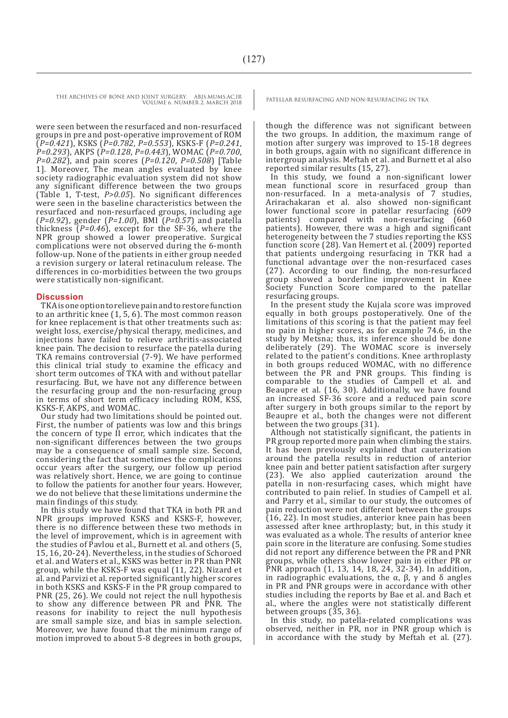were seen between the resurfaced and non-resurfaced groups in pre and post-operative improvement of ROM  $(P=0.421)$ , KSKS  $(P=0.782, P=0.553)$ , KSKS-F  $(P=0.241, P=0.293)$ , AKPS  $(P=0.128, P=0.443)$ , WOMAC  $(P=0.700, P=0.282)$ , and pain scores  $(P=0.120, P=0.508)$  [Table 1]. Moreover, The mean angles evaluated by knee society radiographic evaluation system did not show any significant difference between the two groups (Table 1, T-test, *P>0.05*). No significant differences were seen in the baseline characteristics between the resurfaced and non-resurfaced groups, including age (*P=0.92*), gender (*P=1.00*), BMI (*P=0.57*) and patella thickness (*P=0.46*), except for the SF-36, where the NPR group showed a lower preoperative. Surgical complications were not observed during the 6-month follow-up. None of the patients in either group needed a revision surgery or lateral retinaculum release. The differences in co-morbidities between the two groups were statistically non-significant.

#### **Discussion**

TKA is one option to relieve pain and to restore function to an arthritic knee (1, 5, 6). The most common reason for knee replacement is that other treatments such as: weight loss, exercise/physical therapy, medicines, and injections have failed to relieve arthritis-associated knee pain. The decision to resurface the patella during TKA remains controversial (7-9). We have performed this clinical trial study to examine the efficacy and short term outcomes of TKA with and without patellar resurfacing. But, we have not any difference between the resurfacing group and the non-resurfacing group in terms of short term efficacy including ROM, KSS, KSKS-F, AKPS, and WOMAC.

Our study had two limitations should be pointed out. First, the number of patients was low and this brings the concern of type II error, which indicates that the non-significant differences between the two groups may be a consequence of small sample size. Second, considering the fact that sometimes the complications occur years after the surgery, our follow up period was relatively short. Hence, we are going to continue to follow the patients for another four years. However, we do not believe that these limitations undermine the main findings of this study.

In this study we have found that TKA in both PR and NPR groups improved KSKS and KSKS-F, however, there is no difference between these two methods in the level of improvement, which is in agreement with the studies of Pavlou et al., Burnett et al. and others (5, 15, 16, 20-24). Nevertheless, in the studies of Schoroed et al. and Waters et al., KSKS was better in PR than PNR group, while the KSKS-F was equal (11, 22). Nizard et al. and Parvizi et al. reported significantly higher scores in both KSKS and KSKS-F in the PR group compared to PNR (25, 26). We could not reject the null hypothesis to show any difference between PR and PNR. The reasons for inability to reject the null hypothesis are small sample size, and bias in sample selection. Moreover, we have found that the minimum range of motion improved to about 5-8 degrees in both groups,

though the difference was not significant between the two groups. In addition, the maximum range of motion after surgery was improved to 15-18 degrees in both groups, again with no significant difference in intergroup analysis. Meftah et al. and Burnett et al also reported similar results (15, 27).

In this study, we found a non-significant lower mean functional score in resurfaced group than non-resurfaced. In a meta-analysis of 7 studies, Arirachakaran et al. also showed non-significant lower functional score in patellar resurfacing (609 patients) compared with non-resurfacing (660 compared with non-resurfacing patients). However, there was a high and significant heterogeneity between the 7 studies reporting the KSS function score (28). Van Hemert et al. (2009) reported that patients undergoing resurfacing in TKR had a functional advantage over the non-resurfaced cases (27). According to our finding, the non-resurfaced group showed a borderline improvement in Knee Society Function Score compared to the patellar resurfacing groups.

In the present study the Kujala score was improved equally in both groups postoperatively. One of the limitations of this scoring is that the patient may feel no pain in higher scores, as for example 74.6, in the study by Metsna; thus, its inference should be done deliberately (29). The WOMAC score is inversely related to the patient's conditions. Knee arthroplasty in both groups reduced WOMAC, with no difference between the PR and PNR groups. This finding is comparable to the studies of Campell et al. and Beaupre et al. (16, 30). Additionally, we have found an increased SF-36 score and a reduced pain score after surgery in both groups similar to the report by Beaupre et al., both the changes were not different between the two groups (31).

Although not statistically significant, the patients in PR group reported more pain when climbing the stairs. It has been previously explained that cauterization around the patella results in reduction of anterior knee pain and better patient satisfaction after surgery (23). We also applied cauterization around the patella in non-resurfacing cases, which might have contributed to pain relief. In studies of Campell et al. and Parry et al., similar to our study, the outcomes of pain reduction were not different between the groups (16, 22). In most studies, anterior knee pain has been assessed after knee arthroplasty; but, in this study it was evaluated as a whole. The results of anterior knee pain score in the literature are confusing. Some studies did not report any difference between the PR and PNR groups, while others show lower pain in either PR or PNR approach (1, 13, 14, 18, 24, 32-34). In addition, in radiographic evaluations, the  $\alpha$ ,  $\beta$ ,  $\gamma$  and  $\delta$  angles in PR and PNR groups were in accordance with other studies including the reports by Bae et al. and Bach et al., where the angles were not statistically different between groups (35, 36).

In this study, no patella-related complications was observed, neither in PR, nor in PNR group which is in accordance with the study by Meftah et al. (27).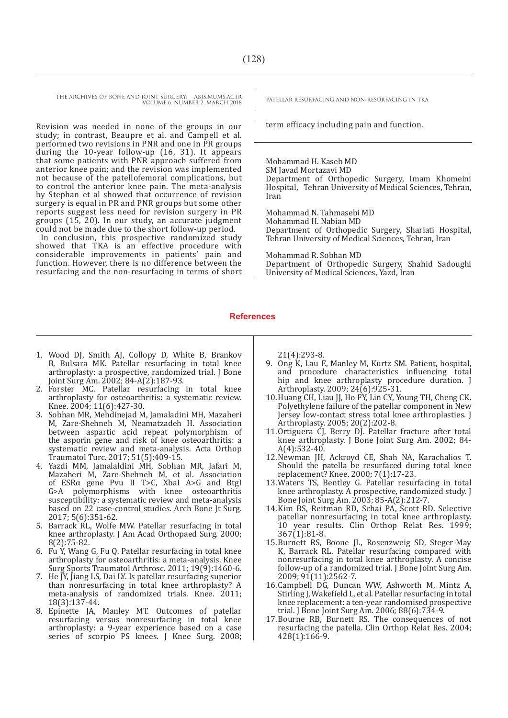Revision was needed in none of the groups in our study; in contrast, Beaupre et al. and Campell et al. performed two revisions in PNR and one in PR groups during the 10-year follow-up (16, 31). It appears that some patients with PNR approach suffered from anterior knee pain; and the revision was implemented not because of the patellofemoral complications, but to control the anterior knee pain. The meta-analysis by Stephan et al showed that occurrence of revision surgery is equal in PR and PNR groups but some other reports suggest less need for revision surgery in PR groups (15, 20). In our study, an accurate judgment could not be made due to the short follow-up period.

In conclusion, this prospective randomized study showed that TKA is an effective procedure with considerable improvements in patients' pain and function. However, there is no difference between the resurfacing and the non-resurfacing in terms of short

term efficacy including pain and function.

Mohammad H. Kaseb MD SM Javad Mortazavi MD Department of Orthopedic Surgery, Imam Khomeini Hospital, Tehran University of Medical Sciences, Tehran, Iran

Mohammad N. Tahmasebi MD Mohammad H. Nabian MD Department of Orthopedic Surgery, Shariati Hospital, Tehran University of Medical Sciences, Tehran, Iran

Mohammad R. Sobhan MD Department of Orthopedic Surgery, Shahid Sadoughi University of Medical Sciences, Yazd, Iran

#### **References**

- 1. Wood DJ, Smith AJ, Collopy D, White B, Brankov B, Bulsara MK. Patellar resurfacing in total knee arthroplasty: a prospective, randomized trial. J Bone Joint Surg Am. 2002; 84-A(2):187-93.
- 2. Forster MC. Patellar resurfacing in total knee arthroplasty for osteoarthritis: a systematic review. Knee. 2004; 11(6):427-30.
- 3. Sobhan MR, Mehdinejad M, Jamaladini MH, Mazaheri M, Zare-Shehneh M, Neamatzadeh H. Association between aspartic acid repeat polymorphism of the asporin gene and risk of knee osteoarthritis: a systematic review and meta-analysis. Acta Orthop Traumatol Turc. 2017; 51(5):409-15.
- 4. Yazdi MM, Jamalaldini MH, Sobhan MR, Jafari M, Mazaheri M, Zare-Shehneh M, et al. Association of ESRα gene Pvu II T>C, XbaI A>G and BtgI G>A polymorphisms with knee osteoarthritis susceptibility: a systematic review and meta-analysis based on 22 case-control studies. Arch Bone Jt Surg. 2017; 5(6):351-62.
- 5. Barrack RL, Wolfe MW. Patellar resurfacing in total knee arthroplasty. J Am Acad Orthopaed Surg. 2000; 8(2):75-82.
- 6. Fu Y, Wang G, Fu Q. Patellar resurfacing in total knee arthroplasty for osteoarthritis: a meta-analysis. Knee Surg Sports Traumatol Arthrosc. 2011;  $19(9)$ : 1460-6.
- 7. He JY, Jiang LS, Dai LY. Is patellar resurfacing superior than nonresurfacing in total knee arthroplasty? A meta-analysis of randomized trials. Knee. 2011; 18(3):137-44.
- 8. Epinette JA, Manley MT. Outcomes of patellar resurfacing versus nonresurfacing in total knee arthroplasty: a 9-year experience based on a case series of scorpio PS knees. J Knee Surg. 2008;

21(4):293-8.

- 9. Ong K, Lau E, Manley M, Kurtz SM. Patient, hospital, and procedure characteristics influencing total hip and knee arthroplasty procedure duration. J Arthroplasty. 2009; 24(6):925-31.
- 10.Huang CH, Liau JJ, Ho FY, Lin CY, Young TH, Cheng CK. Polyethylene failure of the patellar component in New Jersey low-contact stress total knee arthroplasties. J Arthroplasty. 2005; 20(2):202-8.
- 11.Ortiguera CJ, Berry DJ. Patellar fracture after total knee arthroplasty. J Bone Joint Surg Am. 2002; 84- A(4):532-40.
- 12.Newman JH, Ackroyd CE, Shah NA, Karachalios T. Should the patella be resurfaced during total knee replacement? Knee. 2000; 7(1):17-23.
- 13.Waters TS, Bentley G. Patellar resurfacing in total knee arthroplasty. A prospective, randomized study. J Bone Joint Surg Am. 2003; 85-A(2):212-7.
- 14.Kim BS, Reitman RD, Schai PA, Scott RD. Selective patellar nonresurfacing in total knee arthroplasty. 10 year results. Clin Orthop Relat Res. 1999; 367(1):81-8.
- 15.Burnett RS, Boone JL, Rosenzweig SD, Steger-May K, Barrack RL. Patellar resurfacing compared with nonresurfacing in total knee arthroplasty. A concise follow-up of a randomized trial. J Bone Joint Surg Am.  $2009; 91(11):2562-7.$
- 16.Campbell DG, Duncan WW, Ashworth M, Mintz A, Stirling J, Wakefield L, et al. Patellar resurfacing in total knee replacement: a ten-year randomised prospective trial. J Bone Joint Surg Am. 2006; 88(6):734-9.
- 17.Bourne RB, Burnett RS. The consequences of not resurfacing the patella. Clin Orthop Relat Res. 2004; 428(1):166-9.